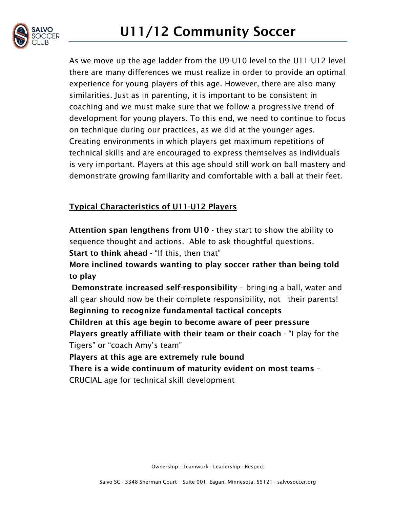As we move up the age ladder from the U9-U10 level to the U11-U12 level there are many differences we must realize in order to provide an optimal experience for young players of this age. However, there are also many similarities. Just as in parenting, it is important to be consistent in coaching and we must make sure that we follow a progressive trend of development for young players. To this end, we need to continue to focus on technique during our practices, as we did at the younger ages. Creating environments in which players get maximum repetitions of technical skills and are encouraged to express themselves as individuals is very important. Players at this age should still work on ball mastery and demonstrate growing familiarity and comfortable with a ball at their feet.

## Typical Characteristics of U11-U12 Players

Attention span lengthens from U10 - they start to show the ability to sequence thought and actions. Able to ask thoughtful questions. Start to think ahead - "If this, then that" More inclined towards wanting to play soccer rather than being told to play Demonstrate increased self-responsibility – bringing a ball, water and all gear should now be their complete responsibility, not their parents! Beginning to recognize fundamental tactical concepts Children at this age begin to become aware of peer pressure Players greatly affiliate with their team or their coach - "I play for the Tigers" or "coach Amy's team" Players at this age are extremely rule bound

There is a wide continuum of maturity evident on most teams – CRUCIAL age for technical skill development